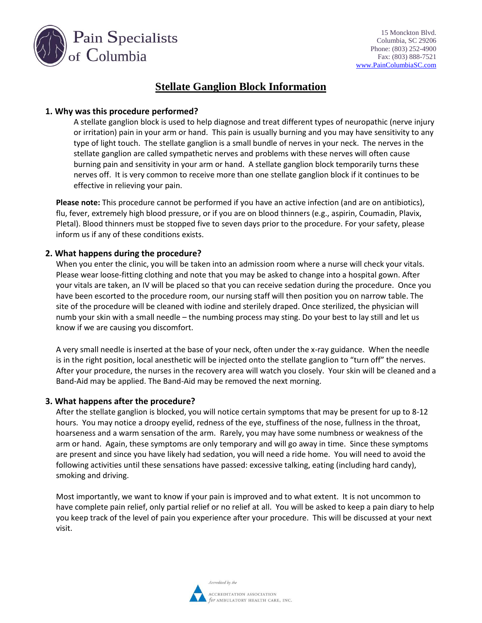

# **Stellate Ganglion Block Information**

### **1. Why was this procedure performed?**

A stellate ganglion block is used to help diagnose and treat different types of neuropathic (nerve injury or irritation) pain in your arm or hand. This pain is usually burning and you may have sensitivity to any type of light touch. The stellate ganglion is a small bundle of nerves in your neck. The nerves in the stellate ganglion are called sympathetic nerves and problems with these nerves will often cause burning pain and sensitivity in your arm or hand. A stellate ganglion block temporarily turns these nerves off. It is very common to receive more than one stellate ganglion block if it continues to be effective in relieving your pain.

**Please note:** This procedure cannot be performed if you have an active infection (and are on antibiotics), flu, fever, extremely high blood pressure, or if you are on blood thinners (e.g., aspirin, Coumadin, Plavix, Pletal). Blood thinners must be stopped five to seven days prior to the procedure. For your safety, please inform us if any of these conditions exists.

### **2. What happens during the procedure?**

When you enter the clinic, you will be taken into an admission room where a nurse will check your vitals. Please wear loose-fitting clothing and note that you may be asked to change into a hospital gown. After your vitals are taken, an IV will be placed so that you can receive sedation during the procedure. Once you have been escorted to the procedure room, our nursing staff will then position you on narrow table. The site of the procedure will be cleaned with iodine and sterilely draped. Once sterilized, the physician will numb your skin with a small needle – the numbing process may sting. Do your best to lay still and let us know if we are causing you discomfort.

A very small needle is inserted at the base of your neck, often under the x-ray guidance. When the needle is in the right position, local anesthetic will be injected onto the stellate ganglion to "turn off" the nerves. After your procedure, the nurses in the recovery area will watch you closely. Your skin will be cleaned and a Band-Aid may be applied. The Band-Aid may be removed the next morning.

#### **3. What happens after the procedure?**

After the stellate ganglion is blocked, you will notice certain symptoms that may be present for up to 8-12 hours. You may notice a droopy eyelid, redness of the eye, stuffiness of the nose, fullness in the throat, hoarseness and a warm sensation of the arm. Rarely, you may have some numbness or weakness of the arm or hand. Again, these symptoms are only temporary and will go away in time. Since these symptoms are present and since you have likely had sedation, you will need a ride home. You will need to avoid the following activities until these sensations have passed: excessive talking, eating (including hard candy), smoking and driving.

Most importantly, we want to know if your pain is improved and to what extent. It is not uncommon to have complete pain relief, only partial relief or no relief at all. You will be asked to keep a pain diary to help you keep track of the level of pain you experience after your procedure. This will be discussed at your next visit.